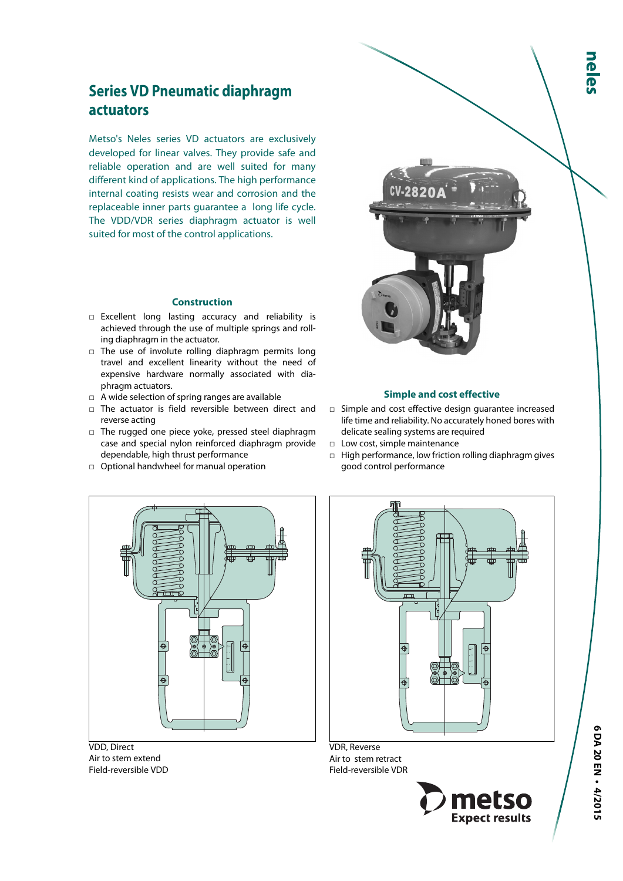# **Series VD Pneumatic diaphragm actuators**

Metso's Neles series VD actuators are exclusively developed for linear valves. They provide safe and reliable operation and are well suited for many different kind of applications. The high performance internal coating resists wear and corrosion and the replaceable inner parts guarantee a long life cycle. The VDD/VDR series diaphragm actuator is well suited for most of the control applications.

#### **Construction**

- □ Excellent long lasting accuracy and reliability is achieved through the use of multiple springs and rolling diaphragm in the actuator.
- $\Box$  The use of involute rolling diaphragm permits long travel and excellent linearity without the need of expensive hardware normally associated with diaphragm actuators.
- $\Box$  A wide selection of spring ranges are available
- □ The actuator is field reversible between direct and reverse acting
- □ The rugged one piece yoke, pressed steel diaphragm case and special nylon reinforced diaphragm provide dependable, high thrust performance
- □ Optional handwheel for manual operation



VDD, Direct Air to stem extend Field-reversible VDD



VDR, Reverse Air to stem retract Field-reversible VDR





#### **Simple and cost effective**

- □ Simple and cost effective design guarantee increased life time and reliability. No accurately honed bores with delicate sealing systems are required
- □ Low cost, simple maintenance
- □ High performance, low friction rolling diaphragm gives good control performance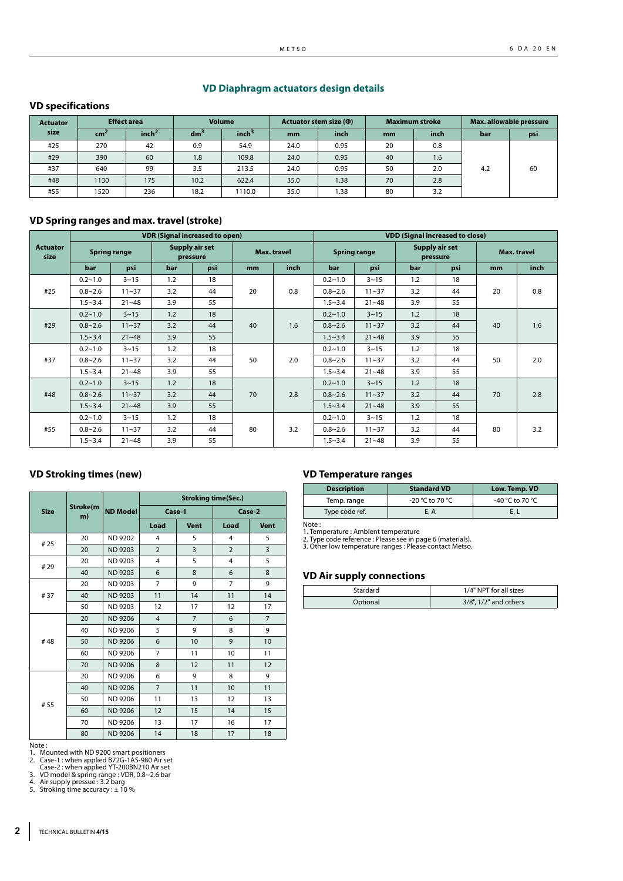#### **VD Diaphragm actuators design details**

#### **VD specifications**

| <b>Actuator</b> | <b>Effect area</b> |                   | <b>Volume</b>   |                   | Actuator stem size ( $\Phi$ ) |      | <b>Maximum stroke</b> |      | Max. allowable pressure |     |
|-----------------|--------------------|-------------------|-----------------|-------------------|-------------------------------|------|-----------------------|------|-------------------------|-----|
| size            | cm <sup>2</sup>    | inch <sup>2</sup> | dm <sup>3</sup> | inch <sup>3</sup> | <sub>mm</sub>                 | inch | <sub>mm</sub>         | inch | bar                     | psi |
| #25             | 270                | 42                | 0.9             | 54.9              | 24.0                          | 0.95 | 20                    | 0.8  |                         |     |
| #29             | 390                | 60                | 1.8             | 109.8             | 24.0                          | 0.95 | 40                    | 1.6  |                         |     |
| #37             | 640                | 99                | 3.5             | 213.5             | 24.0                          | 0.95 | 50                    | 2.0  | 4.2                     | 60  |
| #48             | 1130               | 175               | 10.2            | 622.4             | 35.0                          | 1.38 | 70                    | 2.8  |                         |     |
| #55             | 1520               | 236               | 18.2            | 1110.0            | 35.0                          | 1.38 | 80                    | 3.2  |                         |     |

#### **VD Spring ranges and max. travel (stroke)**

|                         |             |                     |     | <b>VDR (Signal increased to open)</b> |    |                    |             |                     |             | <b>VDD (Signal increased to close)</b> |     |             |     |             |             |          |     |    |     |  |
|-------------------------|-------------|---------------------|-----|---------------------------------------|----|--------------------|-------------|---------------------|-------------|----------------------------------------|-----|-------------|-----|-------------|-------------|----------|-----|----|-----|--|
| <b>Actuator</b><br>size |             | <b>Spring range</b> |     | Supply air set<br>pressure            |    | <b>Max. travel</b> |             | <b>Spring range</b> | pressure    | Supply air set                         |     | Max. travel |     |             |             |          |     |    |     |  |
|                         | bar         | psi                 | bar | psi                                   | mm | inch               | bar         | psi                 | bar         | psi                                    | mm  | inch        |     |             |             |          |     |    |     |  |
|                         | $0.2 - 1.0$ | $3 - 15$            | 1.2 | 18                                    |    |                    | $0.2 - 1.0$ | $3 - 15$            | 1.2         | 18                                     |     |             |     |             |             |          |     |    |     |  |
| #25                     | $0.8 - 2.6$ | $11 - 37$           | 3.2 | 44                                    | 20 | 0.8                | $0.8 - 2.6$ | $11 - 37$           | 3.2         | 44                                     | 20  | 0.8         |     |             |             |          |     |    |     |  |
|                         | $1.5 - 3.4$ | $21 - 48$           | 3.9 | 55                                    |    |                    | $1.5 - 3.4$ | $21 - 48$           | 3.9         | 55                                     |     |             |     |             |             |          |     |    |     |  |
|                         | $0.2 - 1.0$ | $3 - 15$            | 1.2 | 18                                    |    |                    | $0.2 - 1.0$ | $3 - 15$            | 1.2         | 18                                     |     |             |     |             |             |          |     |    |     |  |
| #29                     | $0.8 - 2.6$ | $11 - 37$           | 3.2 | 44                                    | 40 |                    |             | 1.6                 | $0.8 - 2.6$ | $11 - 37$                              | 3.2 | 44          | 40  | 1.6         |             |          |     |    |     |  |
|                         | $1.5 - 3.4$ | $21 - 48$           | 3.9 | 55                                    |    |                    | $1.5 - 3.4$ | $21 - 48$           | 3.9         | 55                                     |     |             |     |             |             |          |     |    |     |  |
|                         | $0.2 - 1.0$ | $3 - 15$            | 1.2 | 18                                    | 50 |                    |             |                     |             |                                        |     |             |     |             | $0.2 - 1.0$ | $3 - 15$ | 1.2 | 18 |     |  |
| #37                     | $0.8 - 2.6$ | $11 - 37$           | 3.2 | 44                                    |    |                    |             |                     |             |                                        |     |             | 2.0 | $0.8 - 2.6$ | $11 - 37$   | 3.2      | 44  | 50 | 2.0 |  |
|                         | $1.5 - 3.4$ | $21 - 48$           | 3.9 | 55                                    |    |                    | $1.5 - 3.4$ | $21 - 48$           | 3.9         | 55                                     |     |             |     |             |             |          |     |    |     |  |
|                         | $0.2 - 1.0$ | $3 - 15$            | 1.2 | 18                                    |    |                    | $0.2 - 1.0$ | $3 - 15$            | 1.2         | 18                                     |     |             |     |             |             |          |     |    |     |  |
| #48                     | $0.8 - 2.6$ | $11 - 37$           | 3.2 | 44                                    | 70 | 2.8                | $0.8 - 2.6$ | $11 - 37$           | 3.2         | 44                                     | 70  | 2.8         |     |             |             |          |     |    |     |  |
|                         | $1.5 - 3.4$ | $21 - 48$           | 3.9 | 55                                    |    |                    | $1.5 - 3.4$ | $21 - 48$           | 3.9         | 55                                     |     |             |     |             |             |          |     |    |     |  |
|                         | $0.2 - 1.0$ | $3 - 15$            | 1.2 | 18                                    |    |                    | $0.2 - 1.0$ | $3 - 15$            | 1.2         | 18                                     |     |             |     |             |             |          |     |    |     |  |
| #55                     | $0.8 - 2.6$ | $11 - 37$           | 3.2 | 44                                    | 80 | 3.2                | $0.8 - 2.6$ | $11 - 37$           | 3.2         | 44                                     | 80  | 3.2         |     |             |             |          |     |    |     |  |
|                         | $1.5 - 3.4$ | $21 - 48$           | 3.9 | 55                                    |    |                    | $1.5 - 3.4$ | $21 - 48$           | 3.9         | 55                                     |     |             |     |             |             |          |     |    |     |  |

### **VD Stroking times (new)**

|             |                |                 | <b>Stroking time(Sec.)</b> |                |                |                |  |  |  |
|-------------|----------------|-----------------|----------------------------|----------------|----------------|----------------|--|--|--|
| <b>Size</b> | Stroke(m<br>m) | <b>ND Model</b> | Case-1                     |                | Case-2         |                |  |  |  |
|             |                |                 | Load                       | <b>Vent</b>    | Load           | <b>Vent</b>    |  |  |  |
| #25         | 20             | <b>ND 9202</b>  | 4                          | 5              | 4              | 5              |  |  |  |
|             | 20             | <b>ND 9203</b>  | $\overline{2}$             | 3              | $\overline{2}$ | 3              |  |  |  |
| #29         | 20             | <b>ND 9203</b>  | $\overline{4}$             | 5              | 4              | 5              |  |  |  |
|             | 40             | <b>ND 9203</b>  | 6                          | 8              | 6              | 8              |  |  |  |
|             | 20             | <b>ND 9203</b>  | $\overline{7}$             | 9              | $\overline{7}$ | 9              |  |  |  |
| #37         | 40             | <b>ND 9203</b>  | 11                         | 14             | 11             | 14             |  |  |  |
|             | 50             | <b>ND 9203</b>  | 12                         | 17             | 12             | 17             |  |  |  |
|             | 20             | <b>ND 9206</b>  | $\overline{4}$             | $\overline{7}$ | 6              | $\overline{7}$ |  |  |  |
|             | 40             | <b>ND 9206</b>  | 5                          | 9              | 8              | 9              |  |  |  |
| #48         | 50             | <b>ND 9206</b>  | 6                          | 10             | 9              | 10             |  |  |  |
|             | 60             | <b>ND 9206</b>  | $\overline{7}$             | 11             | 10             | 11             |  |  |  |
|             | 70             | <b>ND 9206</b>  | 8                          | 12             | 11             | 12             |  |  |  |
|             | 20             | <b>ND 9206</b>  | 6                          | 9              | 8              | 9              |  |  |  |
|             | 40             | <b>ND 9206</b>  | $\overline{7}$             | 11             | 10             | 11             |  |  |  |
| # 55        | 50             | <b>ND 9206</b>  | 11                         | 13             | 12             | 13             |  |  |  |
|             | 60             | <b>ND 9206</b>  | 12                         | 15             | 14             | 15             |  |  |  |
|             | 70             | <b>ND 9206</b>  | 13                         | 17             | 16             | 17             |  |  |  |
|             | 80             | <b>ND 9206</b>  | 14                         | 18             | 17             | 18             |  |  |  |

### **VD Temperature ranges**

| <b>Description</b> | <b>Standard VD</b> | Low. Temp. VD   |
|--------------------|--------------------|-----------------|
| Temp. range        | -20 °C to 70 °C    | -40 °C to 70 °C |
| Type code ref.     | E. A               |                 |

Note :

1. Temperature : Ambient temperature 2. Type code reference : Please see in page 6 (materials). 3. Other low temperature ranges : Please contact Metso.

#### **VD Air supply connections**

| Stardard | 1/4" NPT for all sizes |
|----------|------------------------|
| Optional | 3/8", 1/2" and others  |

Note :<br>1. Mounted with ND 9200 smart positioners<br>2. Case-1 : when applied B72G-1AS-980 Air set<br>Case-2 : when applied YT-200BN210 Air set<br>3. VD model & spring range : VDR, 0.8~2.6 bar<br>4. Air supply pressue : 3.2 barg<br>5. Str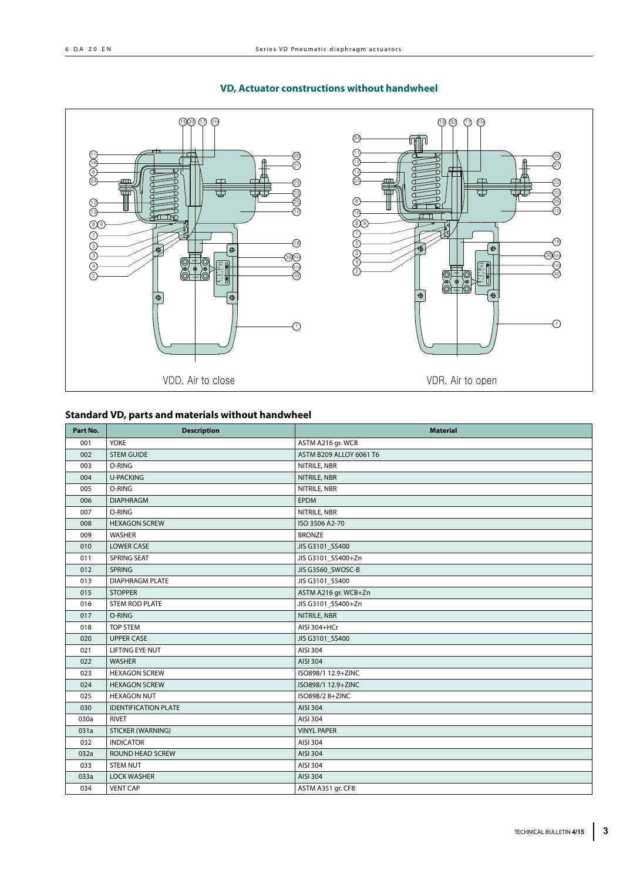### **VD, Actuator constructions without handwheel**



### **Standard VD, parts and materials without handwheel**

| Part No. | <b>Description</b>          | <b>Material</b>         |
|----------|-----------------------------|-------------------------|
| 001      | <b>YOKE</b>                 | ASTM A216 gr. WCB       |
| 002      | <b>STEM GUIDE</b>           | ASTM B209 ALLOY 6061 T6 |
| 003      | O-RING                      | NITRILE, NBR            |
| 004      | <b>U-PACKING</b>            | NITRILE, NBR            |
| 005      | O-RING                      | NITRILE, NBR            |
| 006      | <b>DIAPHRAGM</b>            | <b>EPDM</b>             |
| 007      | O-RING                      | NITRILE, NBR            |
| 008      | <b>HEXAGON SCREW</b>        | ISO 3506 A2-70          |
| 009      | WASHER                      | <b>BRONZE</b>           |
| 010      | <b>LOWER CASE</b>           | JIS G3101_SS400         |
| 011      | <b>SPRING SEAT</b>          | JIS G3101_SS400+Zn      |
| 012      | <b>SPRING</b>               | JIS G3560 SWOSC-B       |
| 013      | <b>DIAPHRAGM PLATE</b>      | JIS G3101 SS400         |
| 015      | <b>STOPPER</b>              | ASTM A216 gr. WCB+Zn    |
| 016      | <b>STEM ROD PLATE</b>       | JIS G3101_SS400+Zn      |
| 017      | O-RING                      | NITRILE, NBR            |
| 018      | <b>TOP STEM</b>             | AISI 304+HCr            |
| 020      | <b>UPPER CASE</b>           | JIS G3101_SS400         |
| 021      | <b>LIFTING EYE NUT</b>      | AISI 304                |
| 022      | <b>WASHER</b>               | AISI 304                |
| 023      | <b>HEXAGON SCREW</b>        | ISO898/1 12.9+ZINC      |
| 024      | <b>HEXAGON SCREW</b>        | ISO898/1 12.9+ZINC      |
| 025      | <b>HEXAGON NUT</b>          | ISO898/28+ZINC          |
| 030      | <b>IDENTIFICATION PLATE</b> | AISI 304                |
| 030a     | <b>RIVET</b>                | AISI 304                |
| 031a     | <b>STICKER (WARNING)</b>    | <b>VINYL PAPER</b>      |
| 032      | <b>INDICATOR</b>            | AISI 304                |
| 032a     | ROUND HEAD SCREW            | AISI 304                |
| 033      | <b>STEM NUT</b>             | AISI 304                |
| 033a     | <b>LOCK WASHER</b>          | AISI 304                |
| 034      | <b>VENT CAP</b>             | ASTM A351 gr. CF8       |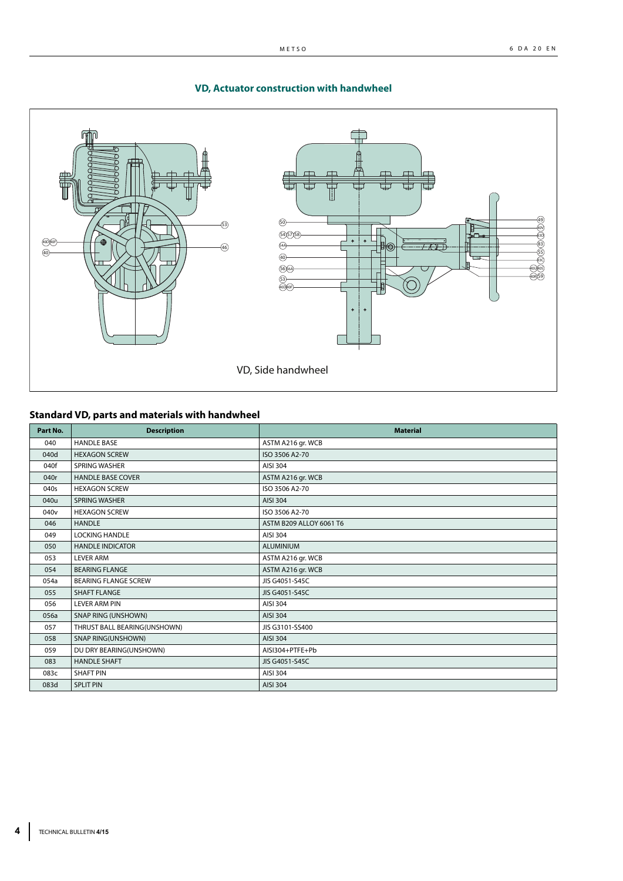

### **VD, Actuator construction with handwheel**

# **Standard VD, parts and materials with handwheel**

| Part No.         | <b>Description</b>           | <b>Material</b>         |
|------------------|------------------------------|-------------------------|
| 040              | <b>HANDLE BASE</b>           | ASTM A216 gr. WCB       |
| 040d             | <b>HEXAGON SCREW</b>         | ISO 3506 A2-70          |
| 040f             | <b>SPRING WASHER</b>         | AISI 304                |
| 040r             | <b>HANDLE BASE COVER</b>     | ASTM A216 gr. WCB       |
| 040s             | <b>HEXAGON SCREW</b>         | ISO 3506 A2-70          |
| 040u             | <b>SPRING WASHER</b>         | AISI 304                |
| 040 <sub>v</sub> | <b>HEXAGON SCREW</b>         | ISO 3506 A2-70          |
| 046              | <b>HANDLE</b>                | ASTM B209 ALLOY 6061 T6 |
| 049              | <b>LOCKING HANDLE</b>        | AISI 304                |
| 050              | <b>HANDLE INDICATOR</b>      | <b>ALUMINIUM</b>        |
| 053              | <b>LEVER ARM</b>             | ASTM A216 gr. WCB       |
| 054              | <b>BEARING FLANGE</b>        | ASTM A216 gr. WCB       |
| 054a             | <b>BEARING FLANGE SCREW</b>  | JIS G4051-S45C          |
| 055              | <b>SHAFT FLANGE</b>          | JIS G4051-S45C          |
| 056              | <b>LEVER ARM PIN</b>         | AISI 304                |
| 056a             | SNAP RING (UNSHOWN)          | AISI 304                |
| 057              | THRUST BALL BEARING(UNSHOWN) | JIS G3101-SS400         |
| 058              | <b>SNAP RING(UNSHOWN)</b>    | AISI 304                |
| 059              | DU DRY BEARING(UNSHOWN)      | AISI304+PTFE+Pb         |
| 083              | <b>HANDLE SHAFT</b>          | JIS G4051-S45C          |
| 083c             | <b>SHAFT PIN</b>             | AISI 304                |
| 083d             | <b>SPLIT PIN</b>             | AISI 304                |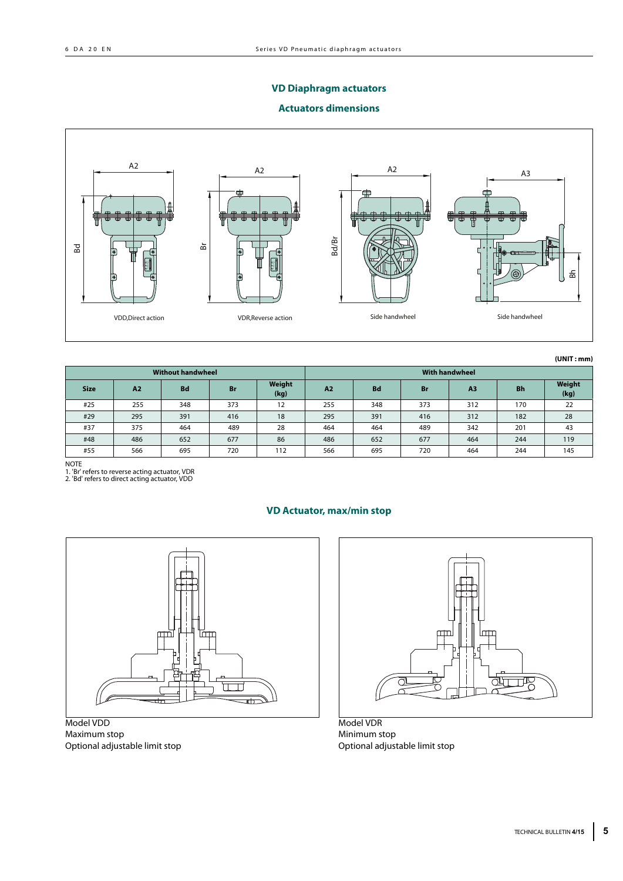## **VD Diaphragm actuators**

#### **Actuators dimensions**



**(UNIT : mm)**

| <b>Without handwheel</b> |                |           |           |                |                |           |           | <b>With handwheel</b> |           |                |
|--------------------------|----------------|-----------|-----------|----------------|----------------|-----------|-----------|-----------------------|-----------|----------------|
| <b>Size</b>              | A <sub>2</sub> | <b>Bd</b> | <b>Br</b> | Weight<br>(kg) | A <sub>2</sub> | <b>Bd</b> | <b>Br</b> | A <sub>3</sub>        | <b>Bh</b> | Weight<br>(kg) |
| #25                      | 255            | 348       | 373       | 12             | 255            | 348       | 373       | 312                   | 170       | 22             |
| #29                      | 295            | 391       | 416       | 18             | 295            | 391       | 416       | 312                   | 182       | 28             |
| #37                      | 375            | 464       | 489       | 28             | 464            | 464       | 489       | 342                   | 201       | 43             |
| #48                      | 486            | 652       | 677       | 86             | 486            | 652       | 677       | 464                   | 244       | 119            |
| #55                      | 566            | 695       | 720       | 112            | 566            | 695       | 720       | 464                   | 244       | 145            |

NOTE 1. 'Br' refers to reverse acting actuator, VDR 2. 'Bd' refers to direct acting actuator, VDD

#### **VD Actuator, max/min stop**



Model VDD Maximum stop Optional adjustable limit stop



Model VDR Minimum stop Optional adjustable limit stop